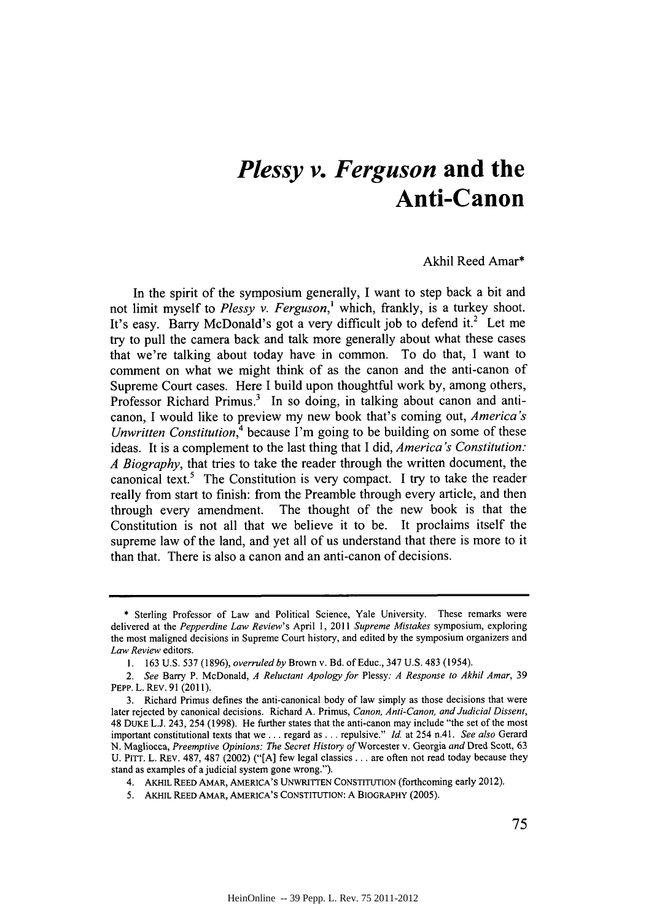## *Plessy v. Ferguson* **and the Anti-Canon**

Akhil Reed Amar\*

In the spirit of the symposium generally, **I** want to step back a bit and not limit myself to *Plessy v. Ferguson,'* which, frankly, is a turkey shoot. It's easy. Barry McDonald's got a very difficult job to defend it.<sup>2</sup> Let me try to pull the camera back and talk more generally about what these cases that we're talking about today have in common. To do that, **I** want to comment on what we might think of as the canon and the anti-canon of Supreme Court cases. Here **I** build upon thoughtful work **by,** among others, Professor Richard Primus.<sup>3</sup> In so doing, in talking about canon and anticanon, **I** would like to preview my new book that's coming out, *America's Unwritten Constitution*,<sup>4</sup> because I'm going to be building on some of these ideas. It is a complement to the last thing that **I** *did, America's Constitution: A Biography,* that tries to take the reader through the written document, the canonical text.' The Constitution is very compact. **I** try to take the reader really from start to finish: from the Preamble through every article, and then through every amendment. The thought of the new book is that the Constitution is not all that we believe it to be. It proclaims itself the supreme law of the land, and yet all of us understand that there is more to it than that. There is also a canon and an anti-canon of decisions.

**<sup>\*</sup>** Sterling Professor of Law and Political Science, Yale University. These remarks were **delivered at** the *Pepperdine Law Review's* April **1,** *2011 Supreme Mistakes* symposium, exploring the most maligned decisions in Supreme Court history, and edited **by** the symposium organizers and *Law Review* editors.

**<sup>1. 163</sup> U.S.** *537* **(1896),** *overruled by* Brown v. Bd. of Educ., 347 **U.S.** 483 (1954).

*<sup>2.</sup> See* Barry P. McDonald, *A Reluctant Apology for Plessy: A Response to Akhil Amar, <sup>39</sup>* PEPP. L. REv. **91 (2011).**

**<sup>3.</sup>** Richard Primus defines the anti-canonical body of law simply as those decisions that were later rejected **by** canonical decisions. Richard **A.** Primus, *Canon, Anti-Canon, and Judicial Dissent,* 48 DUKE **L.J.** 243, 254 **(1998).** He further states that the anti-canon may include "the set of the most important constitutional texts that we **...** regard as **. ..** repulsive." *Id.* at 254 n.41. *See also* Gerard **N.** Magliocca, *Preemptive Opinions: The Secret History of* Worcester v. Georgia *and* Dred Scott, **63 U.** PITT. L. REv. **487, 487** (2002) **("[A]** few legal classics. **. .** are often not read today because they stand as examples of a judicial system gone wrong.").

<sup>4.</sup> AKHIL REED AMAR, **AMERICA'S** UNWRITTEN **CONSTITUTION** (forthcoming early 2012).

*<sup>5.</sup>* AKHIL REED AMAR, **AMERICA'S CONSTITUTION: A** BIOGRAPHY **(2005).**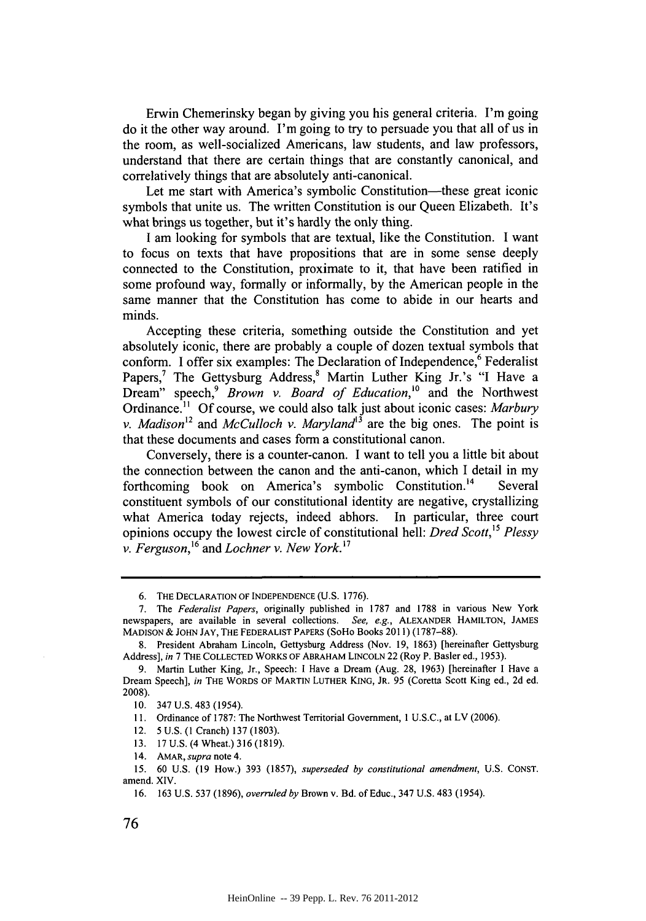Erwin Chemerinsky began **by** giving you his general criteria. I'm going do it the other way around. I'm going to try to persuade you that all of us in the room, as well-socialized Americans, law students, and law professors, understand that there are certain things that are constantly canonical, and correlatively things that are absolutely anti-canonical.

Let me start with America's symbolic Constitution—these great iconic symbols that unite us. The written Constitution is our Queen Elizabeth. It's what brings us together, but it's hardly the only thing.

**I** am looking for symbols that are textual, like the Constitution. **I** want to focus on texts that have propositions that are in some sense deeply connected to the Constitution, proximate to it, that have been ratified in some profound way, formally or informally, **by** the American people in the same manner that the Constitution has come to abide in our hearts and minds.

Accepting these criteria, something outside the Constitution and yet absolutely iconic, there are probably a couple of dozen textual symbols that conform. I offer six examples: The Declaration of Independence,<sup>6</sup> Federalist Papers,<sup>7</sup> The Gettysburg Address,<sup>8</sup> Martin Luther King Jr.'s "I Have a Dream" speech,<sup>9</sup> Brown *v. Board of Education*,<sup>10</sup> and the Northwest Ordinance." **Of** course, we could also talk just about iconic cases: *Marbury v. Madison*<sup>12</sup> and *McCulloch v. Maryland*<sup>13</sup> are the big ones. The point is that these documents and cases form a constitutional canon.

Conversely, there is a counter-canon. I want to tell you a little bit about the connection between the canon and the anti-canon, which I detail in my forthcoming book on America's symbolic Constitution.<sup>14</sup> Several constituent symbols of our constitutional identity are negative, crystallizing what America today rejects, indeed abhors. In particular, three court opinions occupy the lowest circle of constitutional hell: *Dred Scott, 5 Plessy v. Ferguson,16 and Lochner v. New York.'7*

*<sup>6.</sup>* **THE DECLARATION OF INDEPENDENCE (U.S. 1776).**

**<sup>7.</sup>** The *Federalist Papers,* originally published in **1787** and **1788** in various New York newspapers, are available in several collections. *See, e.g.,* **ALEXANDER HAMILTON, JAMES MADISON & JOHN** *JAY,* **THE** FEDERALIST PAPERS (SoHo Books 2011) **(1787-88).**

**<sup>8.</sup>** President Abraham Lincoln, Gettysburg Address (Nov. **19, 1863)** [hereinafter Gettysburg Address], *in* **7 THE COLLECTED WORKS OF ABRAHAM LINCOLN** 22 (Roy P. Basler ed., **1953).**

**<sup>9.</sup>** Martin Luther King, Jr., Speech: **I** Have a Dream (Aug. **28, 1963)** [hereinafter **I** Have a Dream Speech], *in* THE **WORDS OF MARTIN LUTHER KING, JR.** *95* (Coretta Scott King ed., **2d ed. 2008).**

**<sup>10.</sup>** 347 **U.S.** 483 (1954).

**<sup>11.</sup>** Ordinance of **1787:** The Northwest Territorial Government, 1 **U.S.C.,** at LV **(2006).**

<sup>12.</sup> **5 U.S. (I** Cranch) **137 (1803).**

**<sup>13. 17</sup> U.S.** (4 Wheat.) **316 (1819).**

<sup>14.</sup> AMAR, *supra* note 4.

*<sup>15.</sup>* **60 U.S. (19** How.) **393 (1857),** *superseded by constitutional amendment,* **U.S. CONST.** amend. XIV.

**<sup>16. 163</sup> U.S. 537 (1896),** *overruled by* Brown v. Bd. of Educ., 347 **U.S.** 483 (1954).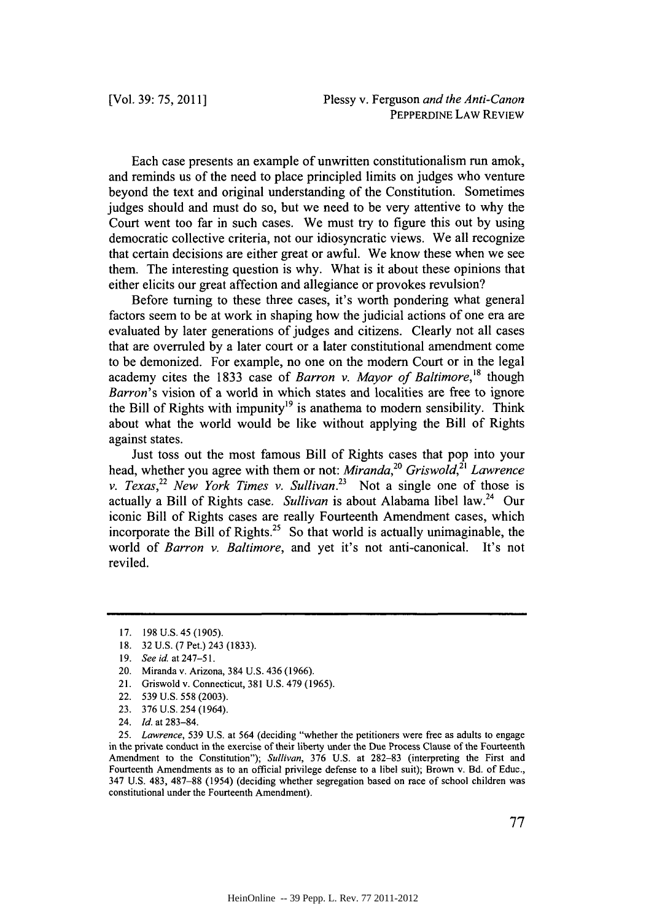Each case presents an example of unwritten constitutionalism run amok, and reminds us of the need to place principled limits on judges who venture beyond the text and original understanding of the Constitution. Sometimes judges should and must do so, but we need to be very attentive to why the Court went too far in such cases. We must try to figure this out **by** using democratic collective criteria, not our idiosyncratic views. We all recognize that certain decisions are either great or awful. We know these when we see them. The interesting question is why. What is it about these opinions that either elicits our great affection and allegiance or provokes revulsion?

Before turning to these three cases, it's worth pondering what general factors seem to be at work in shaping how the judicial actions of one era are evaluated **by** later generations of judges and citizens. Clearly not all cases that are overruled **by** a later court or a later constitutional amendment come to be demonized. For example, no one on the modem Court or in the legal academy cites the **1833** case of *Barron v. Mayor of Baltimore,'8* though *Barron's* vision of a world in which states and localities are free to ignore the Bill of Rights with impunity<sup>19</sup> is anathema to modern sensibility. Think about what the world would be like without applying the Bill of Rights against states.

Just toss out the most famous Bill of Rights cases that pop into your head, whether you agree with them or not: *Miranda*,<sup>20</sup> Griswold,<sup>21</sup> Lawrence *v. Texas*,<sup>22</sup> New York Times v. Sullivan.<sup>23</sup> Not a single one of those is actually a Bill of Rights case. *Sullivan* is about Alabama libel law.<sup>24</sup> Our iconic Bill of Rights cases are really Fourteenth Amendment cases, which incorporate the Bill of Rights.<sup>25</sup> So that world is actually unimaginable, the world of *Barron v. Baltimore,* and yet it's not anti-canonical. It's not reviled.

**<sup>17. 198</sup> U.S.** 45 **(1905).**

**<sup>18. 32</sup> U.S.** *(7* Pet.) 243 **(1833).**

**<sup>19.</sup>** *See id. at* 247-51.

<sup>20.</sup> Miranda v. Arizona, 384 **U.S.** 436 **(1966).**

<sup>21.</sup> Griswold v. Connecticut, **381 U.S.** 479 **(1965).**

<sup>22.</sup> *539* **U.S. 558 (2003).**

**<sup>23. 376</sup> U.S.** 254 (1964).

<sup>24.</sup> *Id.* at **283-84.**

**<sup>25.</sup>** *Lawrence,* **539 U.S.** at 564 (deciding "whether the petitioners were free as adults to engage in the private conduct in the exercise of their liberty under the Due Process Clause of the Fourteenth Amendment to the Constitution"); *Sullivan,* **376 U.S.** at **282-83** (interpreting the First and Fourteenth Amendments as to an official privilege defense to a libel suit); Brown v. Bd. of Educ., 347 **U.S.** 483, **487-88** (1954) (deciding whether segregation based on race of school children was constitutional under the Fourteenth Amendment).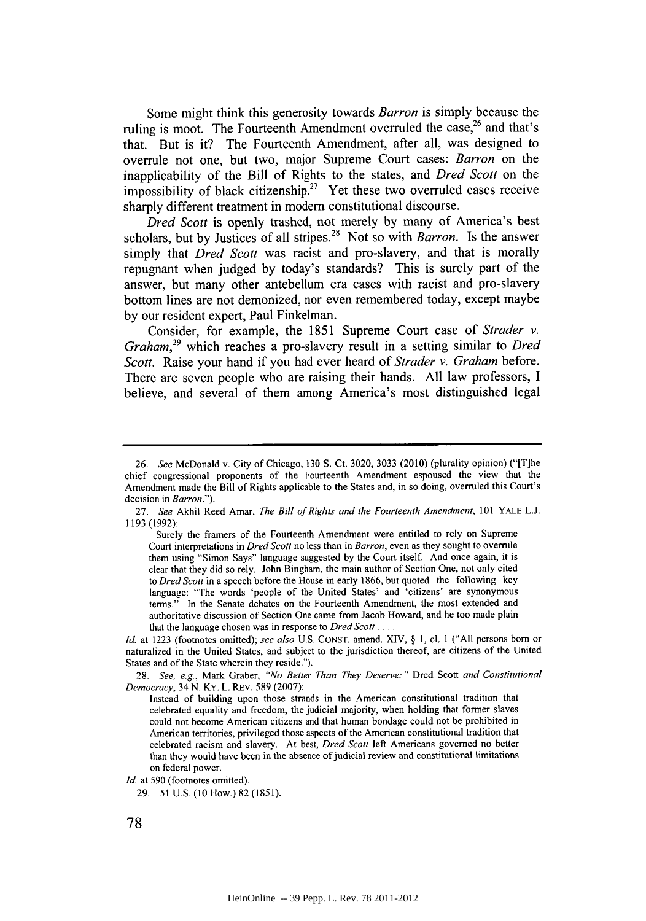Some might think this generosity towards *Barron* is simply because the ruling is moot. The Fourteenth Amendment overruled the case,<sup>26</sup> and that's that. But is it? The Fourteenth Amendment, after all, was designed to overrule not one, but two, major Supreme Court cases: *Barron* on the inapplicability of the Bill of Rights to the states, and *Dred Scott* on the impossibility of black citizenship.<sup>27</sup> Yet these two overruled cases receive sharply different treatment in modem constitutional discourse.

*Dred Scott* is openly trashed, not merely **by** many of America's best scholars, but **by** Justices of all stripes. 28 Not so with *Barron.* Is the answer simply that *Dred Scott* was racist and pro-slavery, and that is morally repugnant when judged **by** today's standards? This is surely part of the answer, but many other antebellum era cases with racist and pro-slavery bottom lines are not demonized, nor even remembered today, except maybe **by** our resident expert, Paul Finkelman.

Consider, for example, the **1851** Supreme Court case of *Strader v. Graham,29* which reaches a pro-slavery result in a setting similar to *Dred Scott.* Raise your hand if you had ever heard of *Strader v. Graham* before. There are seven people who are raising their hands. **All** law professors, **I** believe, and several of them among America's most distinguished legal

**<sup>26.</sup>** See McDonald v. City of Chicago, **130 S.** Ct. **3020, 3033** (2010) (plurality opinion) ("[T]he chief congressional proponents of the Fourteenth Amendment espoused the view that the Amendment made the Bill of Rights applicable to the States and, in so doing, overruled this Court's decision in Barron.").

**<sup>27.</sup>** *See* Akhil Reed Amar, *The Bill of Rights and the Fourteenth Amendment, 101* YALE **L.J. 1193 (1992):**

Surely the framers of the Fourteenth Amendment were entitled to rely on Supreme Court interpretations in *Dred Scott* no less than in *Barron,* even as they sought to overrule them using "Simon Says" language suggested by the Court itself. And once again, it is clear that they did so rely. John Bingham, the main author of Section One, not only cited *to Dred Scott* in a speech before the House in early **1866,** but quoted the following key language: "The words 'people of the United States' and 'citizens' are synonymous terms." In the Senate debates on the Fourteenth Amendment, the most extended and authoritative discussion of Section One came from Jacob Howard, and he too made plain that the language chosen was in response to *Dred Scott* **....**

*Id.* at **1223** (footnotes omitted); *see also* **U.S. CONST.** amend. XIV, **§ 1,** cl. **I ("All** persons born or naturalized in the United States, and subject to the jurisdiction thereof, are citizens of the United States and of the State wherein they reside.").

**<sup>28.</sup>** *See, e.g.,* Mark Graber, *"No Better Than They Deserve:"* Dred Scott *and Constitutional* Democracy, 34 **N.** KY. L. REv. **589 (2007):**

Instead of building upon those strands in the American constitutional tradition that celebrated equality and freedom, the judicial majority, when holding that former slaves could not become American citizens and that human bondage could not be prohibited in American territories, privileged those aspects of the American constitutional tradition that celebrated racism and slavery. At best, *Dred Scott* left Americans governed no better than they would have been in the absence of judicial review and constitutional limitations on federal power.

*Id.* at **590** (footnotes omitted).

**<sup>29. 51</sup> U.S. (10** How.) **82 (1851).**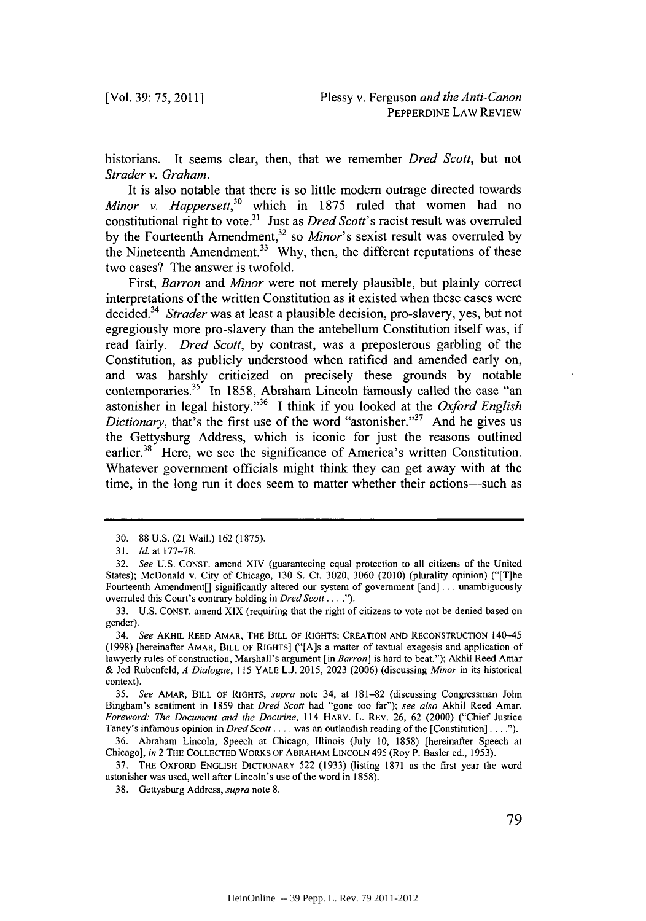historians. It seems clear, then, that we remember *Dred Scott,* but not *Strader v. Graham.*

It is also notable that there is so little modem outrage directed towards *Minor v. Happersett,30* which in **1875** ruled that women had no constitutional right to vote.<sup>31</sup> Just as *Dred Scott's* racist result was overruled by the Fourteenth Amendment,<sup>32</sup> so *Minor's* sexist result was overruled by the Nineteenth Amendment.<sup>33</sup> Why, then, the different reputations of these two cases? The answer is twofold.

*First, Barron and Minor* were not merely plausible, but plainly correct interpretations of the written Constitution as it existed when these cases were decided.34 *Strader* was at least a plausible decision, pro-slavery, yes, but not egregiously more pro-slavery than the antebellum Constitution itself was, if read fairly. *Dred Scott,* **by** contrast, was a preposterous garbling of the Constitution, as publicly understood when ratified and amended early on, and was harshly criticized on precisely these grounds **by** notable contemporaries.<sup>35</sup> In 1858, Abraham Lincoln famously called the case "an astonisher in legal history." <sup>36</sup>**I** think if you looked at the *Oxford English Dictionary*, that's the first use of the word "astonisher."<sup>37</sup> And he gives us the Gettysburg Address, which is iconic for just the reasons outlined earlier.<sup>38</sup> Here, we see the significance of America's written Constitution. Whatever government officials might think they can get away with at the time, in the long run it does seem to matter whether their actions-such as

**<sup>30. 88</sup> U.S.** (21 Wall.) **162 (1875).**

**<sup>31.</sup>** *Id.* at *177-78.*

**<sup>32.</sup>** *See* **U.S. CONST.** amend XIV (guaranteeing equal protection to all citizens of the United States); McDonald v. City of Chicago, **130 S.** Ct. **3020, 3060** (2010) (plurality opinion) ("[T]he Fourteenth Amendment[] significantly altered our system of government [and] **...** unambiguously overruled this Court's contrary holding in *Dred Scott. .* **. .").**

**<sup>33.</sup> U.S. CONST.** amend XIX (requiring that the right of citizens to vote not be denied based on gender).

*<sup>34.</sup> See* **AKHIL REED AMAR, THE BILL OF RIGHTS: CREATION AND RECONSTRUCTION** 140-45 **(1998)** [hereinafter **AMAR, BILL OF RIGHTS]** ("{A]s a matter of textual exegesis and application of lawyerly rules of construction, Marshall's argument [in *Barron]* is hard to beat."); Akhil Reed Amar **&** Jed Rubenfeld, *A Dialogue, 115* YALE **L.J. 2015, 2023 (2006)** (discussing *Minor* in its historical context).

*<sup>35.</sup> See* **AMAR, BILL OF RIGHTS,** *supra* note 34, at **181-82** (discussing Congressman John Bingham's sentiment in **1859** that *Dred Scott* had "gone too far"); *see also* Akhil Reed Amar, *Foreword: The Document and the Doctrine,* 114 HARV. L. REv. **26, 62** (2000) ("Chief Justice Taney's infamous opinion in *DredScott* **....** was an outlandish reading of the [Constitution] **. . . .").**

**<sup>36.</sup>** Abraham Lincoln, Speech at Chicago, Illinois (July **10, 1858)** [hereinafter Speech at Chicago], *in* 2 THE **COLLECTED** WORKS OF ABRAHAM **LINCOLN** 495 (Roy P. Basler ed., **1953).**

**<sup>37.</sup>** THE OXFORD **ENGLISH** DICTIONARY **522 (1933)** (listing **1871** as the first year the word astonisher was used, well after Lincoln's use of the word in **1858).**

**<sup>38.</sup>** Gettysburg Address, *supra* note **8.**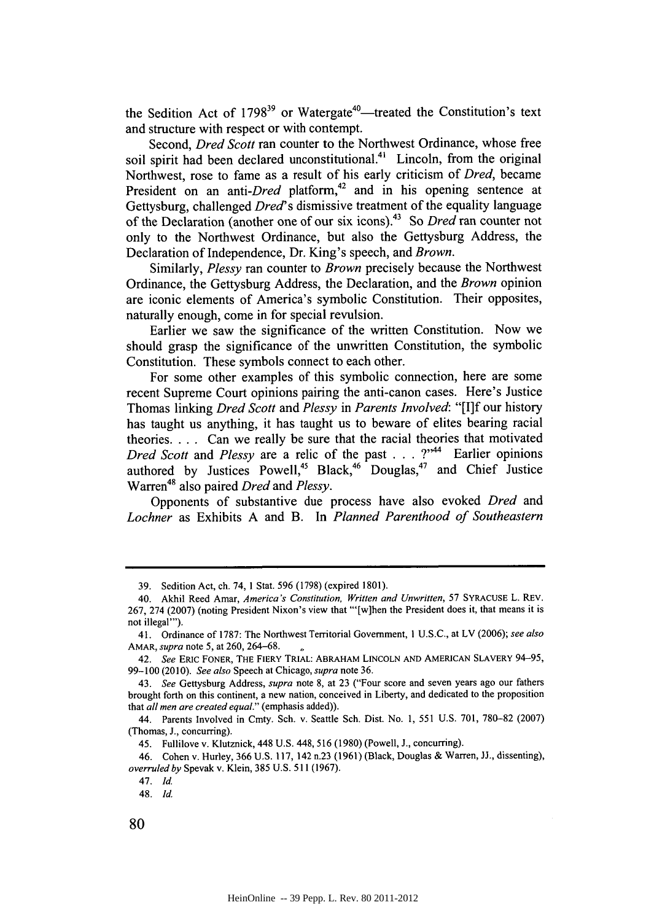the Sedition Act of 1798<sup>39</sup> or Watergate<sup>40</sup>—treated the Constitution's text and structure with respect or with contempt.

Second, *Dred Scott* ran counter to the Northwest Ordinance, whose free soil spirit had been declared unconstitutional.<sup>41</sup> Lincoln, from the original Northwest, rose to fame as a result of his early criticism of *Dred,* became President on an anti-Dred platform,<sup>42</sup> and in his opening sentence at Gettysburg, challenged *Dred's* dismissive treatment of the equality language of the Declaration (another one of our six icons).43 So *Dred* ran counter not only to the Northwest Ordinance, but also the Gettysburg Address, the Declaration of Independence, Dr. King's speech, and *Brown.*

Similarly, *Plessy* ran counter to *Brown* precisely because the Northwest Ordinance, the Gettysburg Address, the Declaration, and the *Brown* opinion are iconic elements of America's symbolic Constitution. Their opposites, naturally enough, come in for special revulsion.

Earlier we saw the significance of the written Constitution. Now we should grasp the significance of the unwritten Constitution, the symbolic Constitution. These symbols connect to each other.

For some other examples of this symbolic connection, here are some recent Supreme Court opinions pairing the anti-canon cases. Here's Justice Thomas linking *Dred Scott and Plessy in Parents Involved:* **"[I]f** our history has taught us anything, it has taught us to beware of elites bearing racial theories. . . **.** Can we really be sure that the racial theories that motivated *Dred Scott and Plessy* are a relic of the past **. . .** ?"" Earlier opinions authored by Justices Powell,<sup>45</sup> Black,<sup>46</sup> Douglas,<sup>47</sup> and Chief Justice Warren<sup>48</sup> also paired *Dred* and *Plessy*.

Opponents of substantive due process have also evoked *Dred* and *Lochner* as Exhibits **A** and B. In *Planned Parenthood of Southeastern*

46. Cohen v. Hurley, **366 U.S. 117,** 142 n.23 **(1961)** (Black, Douglas **&** Warren, **JJ.,** dissenting), *overruled by* Spevak v. Klein, **385 U.S. 511 (1967).**

**<sup>39.</sup>** Sedition Act, ch. 74, **1** Stat. **596 (1798)** (expired **1801).**

<sup>40.</sup> Akhil Reed Amar, *America's Constitution, Written and Unwritten, 57* **SYRACUSE** L. REV. **267,** 274 **(2007)** (noting President Nixon's view that "'[wihen the President does it, that means it is not illegal"').

<sup>41.</sup> Ordinance of **1787:** The Northwest Territorial Government, **I U.S.C.,** at LV **(2006);** *see also AMAR, supra note* **5,** at **260, 264-68.**

*<sup>42.</sup> See* ERIC FONER, THE FIERY TRIAL: ABRAHAM LINCOLN **AND** AMERICAN SLAVERY 94-95, **99-100(2010).** *See also* Speech at Chicago, *supra* note **36.**

*<sup>43.</sup> See* Gettysburg Address, *supra* note **8,** at **23** ("Four score and seven years ago our fathers brought forth on this continent, a new nation, conceived in Liberty, and dedicated to the proposition that *all men are created equal."* (emphasis added)).

<sup>44.</sup> Parents Involved in Cmty. Sch. v. Seattle Sch. Dist. No. **1,** *551* **U.S. 701, 780-82 (2007)** (Thomas, **J.,** concurring).

<sup>45.</sup> Fullilove v. Klutznick, 448 **U.S.** 448, **516 (1980)** (Powell, **J.,** concurring).

<sup>47.</sup> *Id*

<sup>48.</sup> *Id.*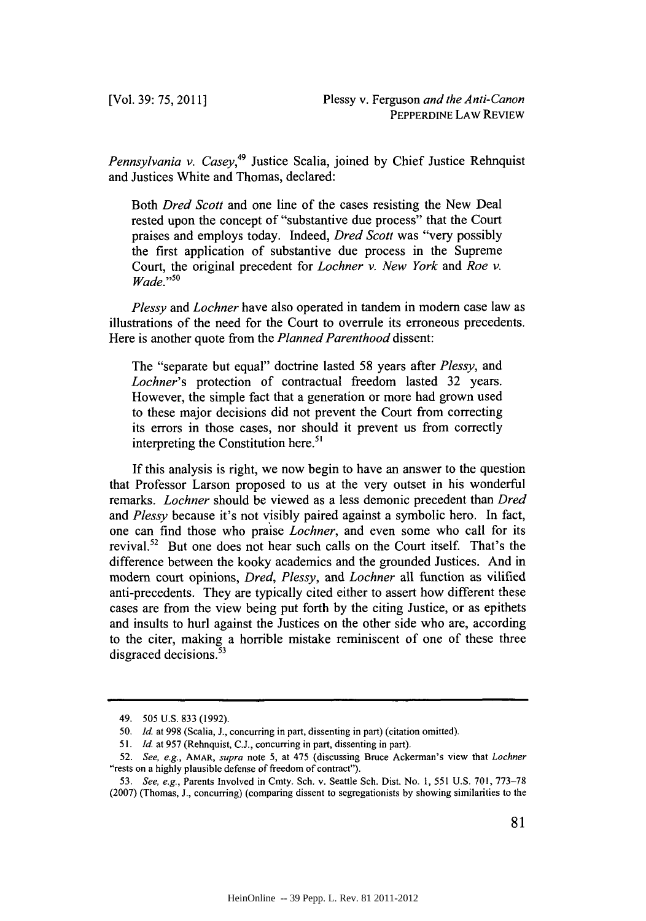*Pennsylvania v. Casey,49* Justice Scalia, joined **by** Chief Justice Rehnquist and Justices White and Thomas, declared:

Both *Dred Scott* and one line of the cases resisting the New Deal rested upon the concept of "substantive due process" that the Court praises and employs today. Indeed, *Dred Scott* was "very possibly the first application of substantive due process in the Supreme Court, the original precedent for *Lochner v. New York and Roe v. Wade."50*

*Plessy and Lochner* have also operated in tandem in modem case law as illustrations of the need for the Court to overrule its erroneous precedents. Here is another quote from the *Planned Parenthood dissent:*

The "separate but equal" doctrine lasted **58** years after *Plessy, and Lochner's* protection of contractual freedom lasted **32** years. However, the simple fact that a generation or more had grown used to these major decisions did not prevent the Court from correcting its errors in those cases, nor should it prevent us from correctly interpreting the Constitution here. $51$ 

**If** this analysis is right, we now begin to have an answer to the question that Professor Larson proposed to us at the very outset in his wonderful remarks. *Lochner* should **be** viewed as a less demonic precedent than *Dred and Plessy* because it's not visibly paired against a symbolic hero. In fact, one can find those who praise *Lochner,* and even some who call for its revival.52 But one does not hear such calls on the Court itself. That's the difference between the kooky academics and the grounded Justices. And in modem court opinions, *Dred, Plessy, and Lochner* all function as vilified anti-precedents. They are typically cited either to assert how different these cases are from the view being put forth **by** the citing Justice, or as epithets and insults to hurl against the Justices on the other side who are, according to the citer, making a horrible mistake reminiscent of one of these three disgraced decisions.<sup>53</sup>

<sup>49.</sup> **505 U.S. 833 (1992).**

*<sup>50.</sup> Id. at* **998** (Scalia, **J.,** concurring in part, dissenting in part) (citation omitted).

*<sup>51.</sup> Id.* at **957** (Rehnquist, **C.J.,** concurring in part, dissenting in part).

**<sup>52.</sup>** *See, e.g., AMAR, supra* note **5,** at 475 (discussing Bruce Ackerman's view that *Lochner* "rests on a **highly** plausible defense of freedom of contract").

*<sup>53.</sup> See, e.g.,* Parents Involved in Cmty. Sch. v. Seattle Sch. Dist. No. **1,** *551* **U.S. 701, 773-78 (2007)** (Thomas, **J.,** concurring) (comparing dissent to segregationists **by** showing similarities to the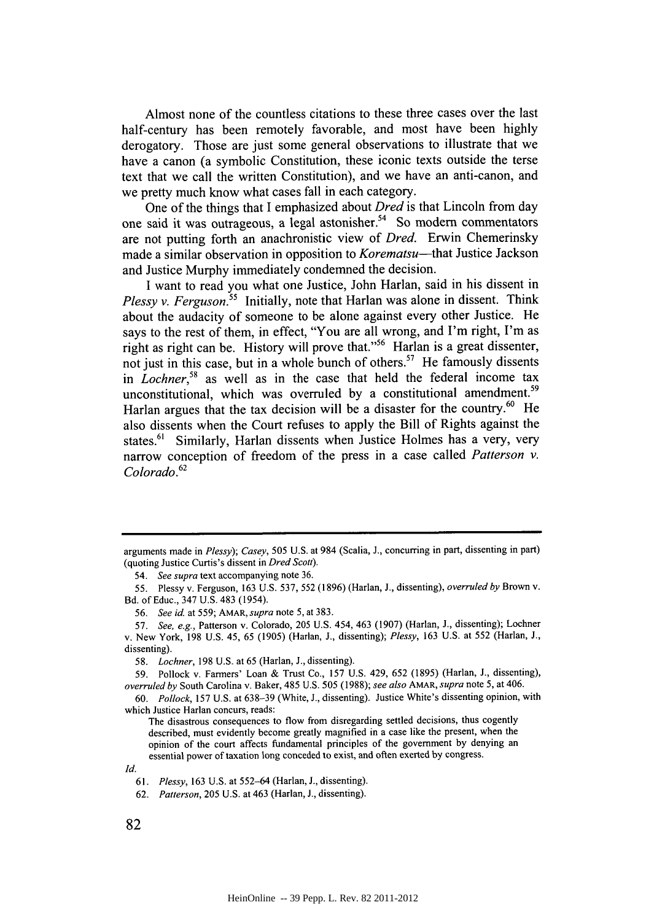Almost none of the countless citations to these three cases over the last half-century has been remotely favorable, and most have been **highly** derogatory. Those are just some general observations to illustrate that we have a canon (a symbolic Constitution, these iconic texts outside the terse text that we call the written Constitution), and we have an anti-canon, and we pretty much know what cases fall in each category.

One of the things that I emphasized about *Dred* is that Lincoln from day one said it was outrageous, a legal astonisher.<sup>54</sup> So modern commentators are not putting forth an anachronistic view of *Dred.* Erwin Chemerinsky made a similar observation in opposition to *Korematsu-that* Justice Jackson and Justice Murphy immediately condemned the decision.

**I** want to read you what one Justice, John Harlan, said in his dissent in *Plessy v. Ferguson.*<sup>55</sup> Initially, note that Harlan was alone in dissent. Think about the audacity of someone to be alone against every other Justice. He says to the rest of them, in effect, "You are all wrong, and I'm right, I'm as right as right can be. History will prove that."56 Harlan is a great dissenter, not just in this case, but in a whole bunch of others.<sup>57</sup> He famously dissents in *Lochner*,<sup>58</sup> as well as in the case that held the federal income tax unconstitutional, which was overruled by a constitutional amendment.<sup>59</sup> Harlan argues that the tax decision will be a disaster for the country.<sup>60</sup> He also dissents when the Court refuses to apply the Bill of Rights against the states.<sup>61</sup> Similarly, Harlan dissents when Justice Holmes has a very, very narrow conception of freedom of the press in a case called *Patterson v. Colorado.62*

*Id.*

arguments made in *Plessy); Casey,* **505 U.S.** at 984 (Scalia, **J.,** concurring in part, dissenting in part) (quoting Justice Curtis's dissent in *Dred Scott).*

*<sup>54.</sup> See supra* text accompanying note **36.**

**<sup>55.</sup>** Plessy v. Ferguson, **163 U.S. 537, 552 (1896)** (Harlan, **J.,** dissenting), *overruled by* Brown v. Bd. of Educ., 347 **U.S.** 483 (1954).

*<sup>56.</sup> See id.* at **559; AMAR,supra** note **5,** at **383.**

*<sup>57.</sup> See, e.g.,* Patterson v. Colorado, **205 U.S.** 454, 463 **(1907)** (Harlan, **J.,** dissenting); Lochner v. New York, **198 U.S.** 45, **65 (1905)** (Harlan, **J.,** dissenting); *Plessy,* **163 U.S.** at **552** (Harlan, **J.,** dissenting).

*<sup>58.</sup> Lochner,* **198 U.S.** at **65** (Harlan, **J.,** dissenting).

*<sup>59.</sup>* Pollock v. Farmers' Loan **&** Trust Co., **157 U.S.** 429, **652 (1895)** (Harlan, **J.,** dissenting), *overruled by* South Carolina v. Baker, 485 **U.S. 505** *(1988); see also AMAR, supra note* **5,** at 406.

*<sup>60.</sup> Pollock,* **157 U.S.** at **638-39** (White, **J.,** dissenting). Justice White's dissenting opinion, with which Justice Harlan concurs, reads:

The disastrous consequences to flow from disregarding settled decisions, thus cogently described, must evidently become greatly magnified in a case like the present, when the opinion of the court affects fundamental principles of the government **by** denying an essential power of taxation long conceded to exist, and often exerted **by** congress.

*<sup>61.</sup> Plessy,* **163 U.S.** at **552-64** (Harlan, **J.,** dissenting).

*<sup>62.</sup> Patterson,* **205 U.S.** at 463 (Harlan, **J.,** dissenting).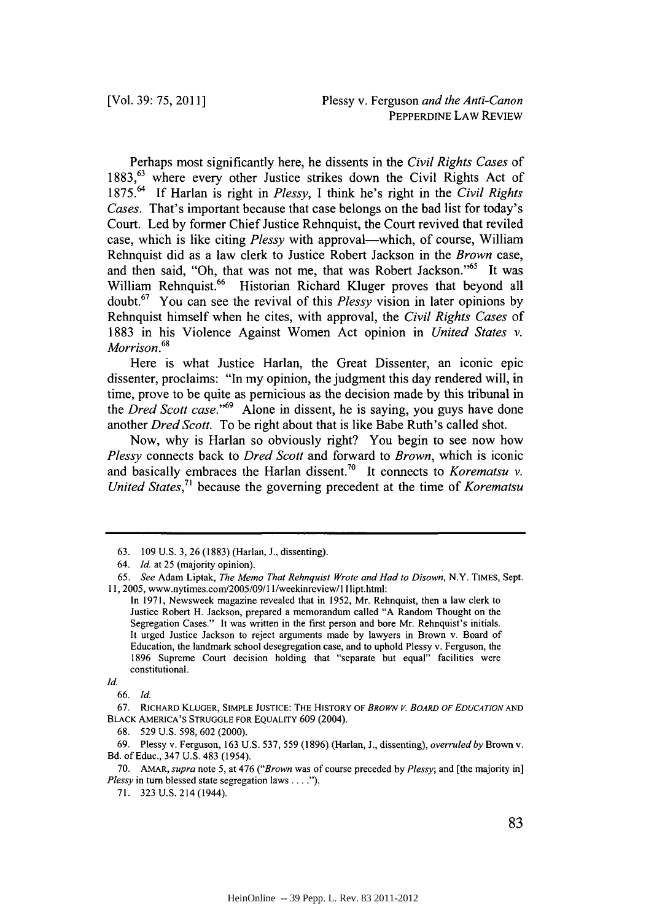Perhaps most significantly here, he dissents in the *Civil Rights Cases of* 1883,<sup>63</sup> where every other Justice strikes down the Civil Rights Act of **1** *875.64* **If** Harlan is right in *Plessy, I* think he's right in the *Civil Rights Cases.* That's important because that case belongs on the bad list for today's Court. Led **by** former Chief Justice Rehnquist, the Court revived that reviled case, which is like citing *Plessy* with approval—which, of course, William Rehnquist did as a law clerk to Justice Robert Jackson in the *Brown* case, and then said, "Oh, that was not me, that was Robert Jackson."<sup>65</sup> It was William Rehnquist.<sup>66</sup> Historian Richard Kluger proves that beyond all doubt.67 You can see the revival of this *Plessy* vision in later opinions **by** Rehnquist himself when he cites, with approval, the *Civil Rights Cases of* **1883** in his Violence Against Women Act opinion in *United States v. Morrison.* **68**

Here is what Justice Harlan, the Great Dissenter, an iconic epic dissenter, proclaims: "In my opinion, the judgment this day rendered will, in time, prove to be quite as pernicious as the decision made **by** this tribunal in the *Dred Scott case*.<sup>"69</sup> Alone in dissent, he is saying, you guys have done another *Dred Scott.* To be right about that is like Babe Ruth's called shot.

Now, why is Harlan so obviously right? You begin to see now how *Plessy* connects back to *Dred Scott* and forward to *Brown,* which is iconic and basically embraces the Harlan dissent.70 It connects to *Korematsu v. United States,7 1* because the governing precedent at the time of *Korematsu*

**<sup>63. 109</sup> U.S. 3, 26 (1883)** (Harlan, **J.,** dissenting).

*<sup>64.</sup> Id. at* **25** (majority opinion).

*<sup>65.</sup> See* Adam Liptak, *The Memo That Rehnquist Wrote and Had to Disown,* N.Y. **TIMES,** Sept. 11, 2005, www.nytimes.com/2005/09/11/weekinreview/lIlipt.html:

In **1971,** Newsweek magazine revealed that in *1952,* Mr. Rehnquist, then a law clerk to Justice Robert H. Jackson, prepared a memorandum called **"A** Random Thought on the Segregation Cases." It was written in the first person and bore Mr. Rehnquist's initials. It urged Justice Jackson to reject arguments made **by** lawyers in Brown v. Board of Education, the landmark school desegregation case, and to uphold Plessy v. Ferguson, the **1896** Supreme Court decision holding that "separate but equal" facilities were constitutional.

*Id.*

*<sup>66.</sup> Id.*

**<sup>67.</sup> RICHARD** KLUGER, **SIMPLE JUSTICE: THE HISTORY OF** *BROWN V. BOARD OF EDUCATION AND* BLACK **AMERICA'S STRUGGLE** FOR **EQUALITY 609** (2004).

**<sup>68.</sup>** *529* **U.S. 598, 602** (2000).

**<sup>69.</sup>** Plessy v. Ferguson, **163 U.S. 537, 559 (1896)** (Harlan, *J., dissenting), overruled by Brown v.* Bd. of Educ., 347 **U.S.** 483 (1954).

**<sup>70.</sup> AMAR,** *supra* note **5,** at 476 *("Brown* was of course preceded *by Plessy;* and [the majority in] *Plessy* in turn blessed state segregation laws **....**

**<sup>71. 323</sup> U.S.** 214 (1944).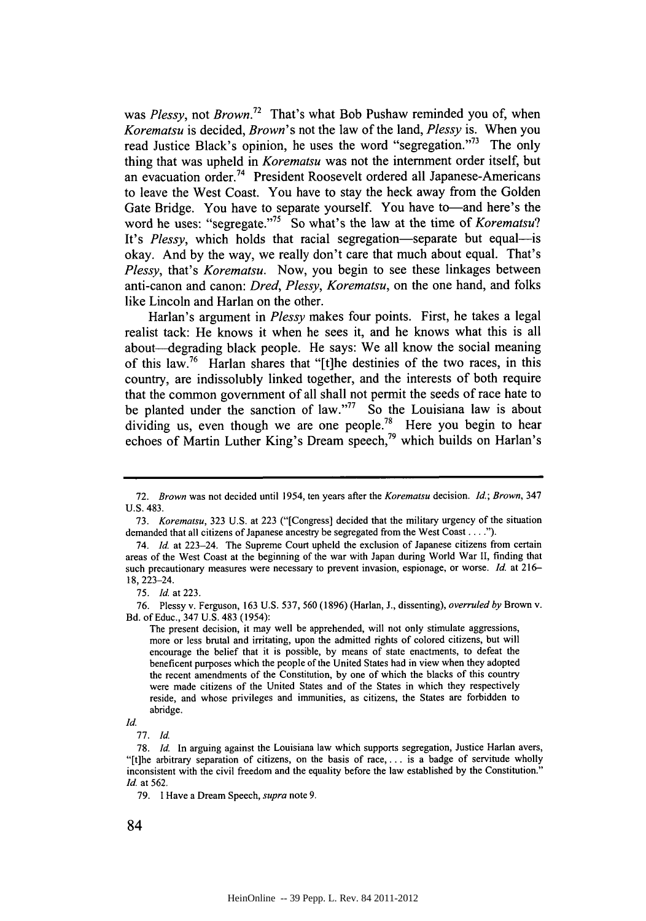was *Plessy, not Brown.72* That's what Bob Pushaw reminded you of, when *Korematsu* is decided, *Brown's* not the law of the land, *Plessy* is. When you read Justice Black's opinion, he uses the word "segregation."73 The only thing that was upheld in *Korematsu* was not the internment order itself, but an evacuation order. 74 President Roosevelt ordered all Japanese-Americans to leave the West Coast. You have to stay the heck away from the Golden Gate Bridge. You have to separate yourself. You have to—and here's the word he uses: "segregate."<sup>75</sup> So what's the law at the time of *Korematsu*? It's Plessy, which holds that racial segregation-separate but equal-is okay. And **by** the way, we really don't care that much about equal. That's *Plessy, that's Korematsu.* Now, you begin to see these linkages between anti-canon and canon: *Dred, Plessy, Korematsu,* on the one hand, and folks like Lincoln and Harlan on the other.

Harlan's argument in *Plessy* makes four points. First, he takes a legal realist tack: He knows it when he sees it, and he knows what this is all about-degrading black people. He says: We all know the social meaning of this law.76 Harlan shares that "[t]he destinies of the two races, in this country, are indissolubly linked together, and the interests of both require that the common government of all shall not permit the seeds of race hate to be planted under the sanction of law."<sup>77</sup> So the Louisiana law is about dividing us, even though we are one people.<sup>78</sup> Here you begin to hear echoes of Martin Luther King's Dream speech,<sup>79</sup> which builds on Harlan's

**<sup>72.</sup>** *Brown* was not decided until 1954, ten years after the *Korematsu decision. Id.; Brown,* 347 **U.S.** 483.

*<sup>73.</sup> Korematsu,* **323 U.S.** at **223** ("[Congress] decided that the military urgency of the situation demanded that all citizens of Japanese ancestry be segregated from the West Coast **. . . .").**

<sup>74.</sup> *Id.* at 223-24. The Supreme Court upheld the exclusion of Japanese citizens from certain areas of the West Coast at the beginning of the war with Japan during World War **II,** finding that such precautionary measures were necessary to prevent invasion, espionage, or worse. *Id.* at **216-** 18, 223-24.

**<sup>75.</sup>** *Id.* at **223.**

**<sup>76.</sup>** Plessy v. Ferguson, **163 U.S. 537, 560 (1896)** (Harlan, **J.,** dissenting), *overruled by* Brown v. Bd. of Educ., 347 **U.S.** 483 *(1954):*

The present decision, it may well be apprehended, will not only stimulate aggressions, more or less brutal and irritating, upon the admitted rights of colored citizens, but will encourage the belief that it is possible, **by** means of state enactments, to defeat the beneficent purposes which the people of the United States had in view when they adopted the recent amendments of the Constitution, **by** one of which the blacks of this country were made citizens of the United States and of the States in which they respectively reside, and whose privileges and immunities, as citizens, the States are forbidden to abridge.

*Id.*

**<sup>77.</sup>** *Id*

**<sup>78.</sup>** *Id.* In arguing against the Louisiana law which supports segregation, Justice Harlan avers, "[t]he arbitrary separation of citizens, on the basis of race,... is a badge of servitude wholly inconsistent with the civil freedom and the equality before the law established **by** the Constitution." *Id.* at **562.**

**<sup>79.</sup>** I Have a Dream Speech, *supra* note **9.**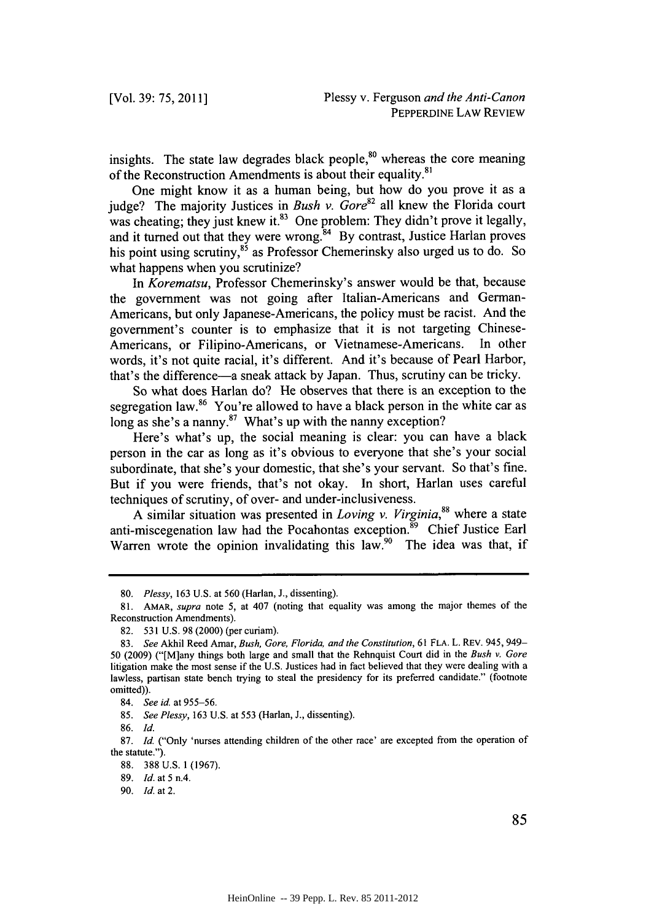insights. The state law degrades black people, $80$  whereas the core meaning of the Reconstruction Amendments is about their equality.<sup>81</sup>

One might know it as a human being, but how do you prove it as a judge? The majority Justices in *Bush v. Gore82* all knew the Florida court was cheating; they just knew it.<sup>83</sup> One problem: They didn't prove it legally, and it turned out that they were wrong.<sup>84</sup> By contrast, Justice Harlan proves his point using scrutiny,<sup>85</sup> as Professor Chemerinsky also urged us to do. So what happens when you scrutinize?

*In Korematsu,* Professor Chemerinsky's answer would be that, because the government was not going after Italian-Americans and German-Americans, but only Japanese-Americans, the policy must be racist. And the government's counter is to emphasize that it is not targeting Chinese-Americans, or Filipino-Americans, or Vietnamese-Americans. In other words, it's not quite racial, it's different. And it's because of Pearl Harbor, that's the difference-a sneak attack **by** Japan. Thus, scrutiny can **be** tricky.

So what does Harlan do? He observes that there is an exception to the segregation law.<sup>86</sup> You're allowed to have a black person in the white car as long as she's a nanny.<sup>87</sup> What's up with the nanny exception?

Here's what's up, the social meaning is clear: you can have a black person in the car as long as it's obvious to everyone that she's your social subordinate, that she's your domestic, that she's your servant. So that's fine. But if you were friends, that's not okay. In short, Harlan uses careful techniques of scrutiny, of over- and under-inclusiveness.

**A** similar situation was presented in *Loving v. Virginia,"* where a state anti-miscegenation law had the Pocahontas exception.<sup>89</sup> Chief Justice Earl Warren wrote the opinion invalidating this law.<sup>90</sup> The idea was that, if

*<sup>80.</sup> Plessy,* **163 U.S.** *at* **560** (Harlan, **J.,** dissenting).

**<sup>81.</sup> AMAR,** *supra note 5,* at 407 (noting that equality was among the major themes of the Reconstruction Amendments).

**<sup>82. 531</sup> U.S. 98** (2000) (per curiam).

*<sup>83.</sup> See* Akhil Reed Amar, *Bush, Gore, Florida, and the Constitution,* **61 FLA.** L. REv. 945, 949- **50 (2009)** ("[M]any things both large and small that the Rehnquist Court did in the *Bush v. Gore* litigation make the most sense if the **U.S.** Justices had in fact believed that they were dealing with a lawless, partisan state bench trying to steal the presidency for its preferred candidate." (footnote omitted)).

*<sup>84.</sup> See id at 955-56.*

*<sup>85.</sup> See Plessy,* **163 U.S.** at **553** (Harlan, **J.,** dissenting).

**<sup>86.</sup>** *Id.*

**<sup>87.</sup>** *Id.* ("Only 'nurses attending children of the other race' are excepted from the operation of the statute.").

**<sup>88. 388</sup> U.S. 1 (1967).**

**<sup>89.</sup>** *Id.* at *5* n.4.

*<sup>90.</sup> Id.* at 2.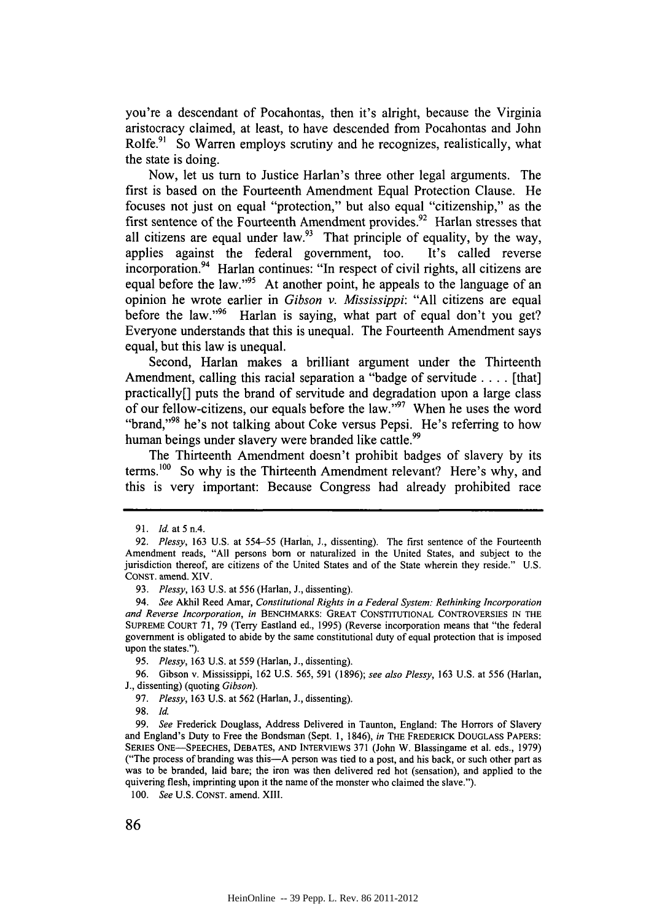you're a descendant of Pocahontas, then it's alright, because the Virginia aristocracy claimed, at least, to have descended from Pocahontas and John Rolfe.<sup>91</sup> So Warren employs scrutiny and he recognizes, realistically, what the state is doing.

Now, let us turn to Justice Harlan's three other legal arguments. The first is based on the Fourteenth Amendment Equal Protection Clause. He focuses not just on equal "protection," but also equal "citizenship," as the first sentence of the Fourteenth Amendment provides.<sup>92</sup> Harlan stresses that all citizens are equal under law.<sup>93</sup> That principle of equality, by the way, applies against the federal government, too. It's called reverse incorporation.<sup>94</sup> Harlan continues: "In respect of civil rights, all citizens are equal before the law."<sup>95</sup> At another point, he appeals to the language of an opinion he wrote earlier in *Gibson v. Mississippi:* **"All** citizens are equal before the law."96 Harlan is saying, what part of equal don't you get? Everyone understands that this is unequal. The Fourteenth Amendment says equal, but this law is unequal.

Second, Harlan makes a brilliant argument under the Thirteenth Amendment, calling this racial separation a "badge of servitude **.** . . **.** [that] practically[] puts the brand of servitude and degradation upon a large class of our fellow-citizens, our equals before the law." When he uses the word "brand,"<sup>98</sup> he's not talking about Coke versus Pepsi. He's referring to how human beings under slavery were branded like cattle.<sup>99</sup>

The Thirteenth Amendment doesn't prohibit badges of slavery **by** its terms.'00 So why is the Thirteenth Amendment relevant? Here's why, and this is very important: Because Congress had already prohibited race

*100.* See **U.S. CONST.** amend. **XIII.**

**<sup>91.</sup>** Id. at **5** n.4.

*<sup>92.</sup>* Plessy, **163 U.S.** at **554-55** (Harlan, **J.,** dissenting). The first sentence of the Fourteenth Amendment reads, **"All** persons born or naturalized in the United States, and subject to the jurisdiction thereof, are citizens of the United States and of the State wherein they reside." **U.S. CONST.** amend. XIV.

*<sup>93.</sup>* Plessy, **163 U.S.** at **556** (Harlan, **J.,** dissenting).

<sup>94.</sup> See Akhil Reed Amar, Constitutional Rights in a Federal System: Rethinking Incorporation and Reverse Incorporation, in BENCHMARKS: GREAT **CONSTITUTIONAL** CONTROVERSIES **IN** THE **SUPREME COURT 71, 79** (Terry Eastland ed., **1995)** (Reverse incorporation means that "the federal government is obligated to abide **by** the same constitutional duty of equal protection that is imposed upon the states.").

**<sup>95.</sup>** Plessy, **163 U.S.** at **559** (Harlan, **J.,** dissenting).

**<sup>96.</sup>** Gibson v. Mississippi, **162 U.S. 565, 591 (1896);** see also Plessy, **163 U.S.** at **556** (Harlan, **J.,** dissenting) (quoting Gibson).

*<sup>97.</sup>* Plessy, **163 U.S.** at **562** (Harlan, **J.,** dissenting).

**<sup>98.</sup>** Id.

*<sup>99.</sup>* See Frederick Douglass, Address Delivered in Taunton, England: The Horrors of Slavery and England's Duty to Free the Bondsman (Sept. **1,** 1846), in **THE FREDERICK DOUGLASS PAPERS: SERIES ONE-SPEECHES, DEBATES, AND INTERVIEWS 371** (John W. Blassingame et al. eds., **1979)** ("The process of branding was this-A person was tied to a post, and his back, or such other part as was to be branded, laid bare; the iron was then delivered red hot (sensation), and applied to the quivering flesh, imprinting upon **it** the name of the monster who claimed the slave.").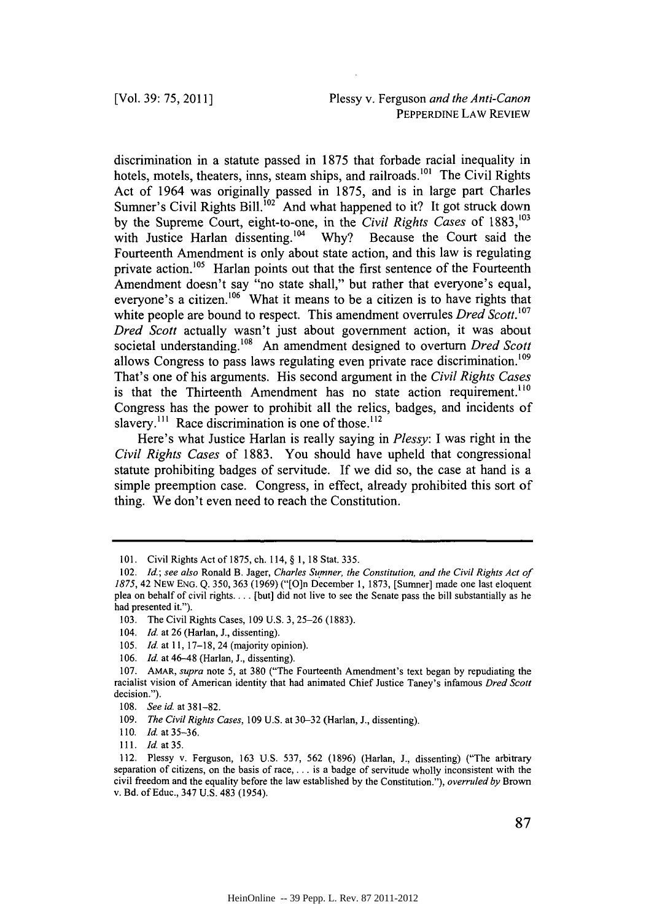discrimination in a statute passed in *1875* that forbade racial inequality in hotels, motels, theaters, inns, steam ships, and railroads.<sup>101</sup> The Civil Rights Act of 1964 was originally passed in *1875,* and is in large part Charles Sumner's Civil Rights Bill.<sup>102</sup> And what happened to it? It got struck down by the Supreme Court, eight-to-one, in the *Civil Rights Cases* of 1883,<sup>103</sup> with Justice Harlan dissenting.<sup>104</sup> Why? Because the Court said the Fourteenth Amendment is only about state action, and this law is regulating private action.<sup>105</sup> Harlan points out that the first sentence of the Fourteenth Amendment doesn't say "no state shall," but rather that everyone's equal, everyone's a citizen.<sup>106</sup> What it means to be a citizen is to have rights that white people are bound to respect. This amendment overrules *Dred Scott. <sup>07</sup> Dred Scott* actually wasn't just about government action, it was about societal understanding.<sup>108</sup> An amendment designed to overturn *Dred Scott* allows Congress to pass laws regulating even private race discrimination.' That's one of his arguments. His second argument in the *Civil Rights Cases* is that the Thirteenth Amendment has no state action requirement.<sup>110</sup> Congress has the power to prohibit all the relics, badges, and incidents of slavery.<sup>111</sup> Race discrimination is one of those.<sup>112</sup>

Here's what Justice Harlan is really saying in *Plessy: I* was right in the *Civil Rights Cases* of **1883.** You should have upheld that congressional statute prohibiting badges of servitude. **If** we did so, the case at hand is a simple preemption case. Congress, in effect, already prohibited this sort of thing. We don't even need to reach the Constitution.

**<sup>101.</sup>** Civil Rights Act of **1875,** ch. 114, **§ 1, 18** Stat. *335.*

*<sup>102.</sup> Id.; see also* Ronald B. Jager, *Charles Sumner, the Constitution, and the Civil Rights Act of 1875,* 42 NEw **ENG. Q. 350, 363 (1969)** ("[O]n December **1, 1873,** [Sumner] made one last eloquent plea on behalf of civil rights... **.** [but] did not live to see the Senate pass the bill substantially as he had presented it.").

**<sup>103.</sup>** The Civil Rights Cases, **109 U.S. 3, 25-26 (1883).**

<sup>104.</sup> *Id.* at **26** (Harlan, **J.,** dissenting).

**<sup>105.</sup>** *Id.* at **I, 17-18,** 24 (majority opinion).

**<sup>106.</sup>** *Id.* at 46-48 (Harlan, **J.,** dissenting).

**<sup>107.</sup>** AMAR, *supra note 5,* at **380** ("The Fourteenth Amendment's text began **by** repudiating the racialist vision of American identity that had animated Chief Justice Taney's infamous *Dred Scott* decision.").

**<sup>108.</sup>** *See id.* at **381-82.**

**<sup>109.</sup>** *The Civil Rights Cases,* **109 U.S.** at **30-32** (Harlan, **J.,** dissenting).

**<sup>110.</sup> Id.** at **35-36.**

**<sup>111.</sup> Id.** at **35.**

<sup>112.</sup> Plessy v. Ferguson, **163 U.S. 537, 562 (1896)** (Harlan, **J.,** dissenting) ("The arbitrary separation of citizens, on the basis of race, **. . .** is a badge of servitude wholly inconsistent with the civil freedom and the equality before the law established **by** the Constitution."), *overruled by* Brown v. Bd. of Educ., 347 **U.S.** 483 (1954).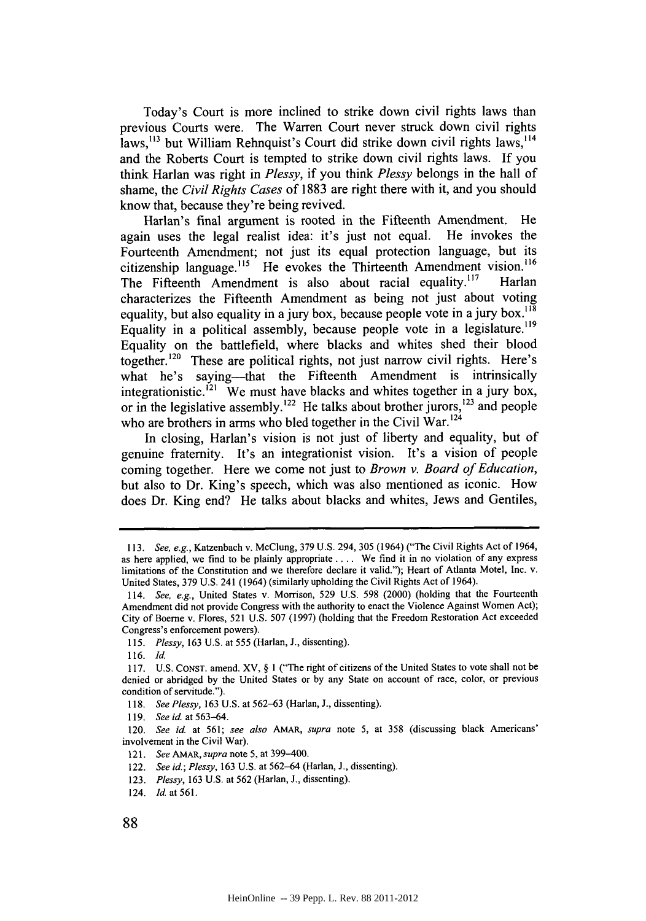Today's Court is more inclined to strike down civil rights laws than previous Courts were. The Warren Court never struck down civil rights laws,<sup>113</sup> but William Rehnquist's Court did strike down civil rights laws,<sup>114</sup> and the Roberts Court is tempted to strike down civil rights laws. **If** you think Harlan was right in *Plessy,* if you think *Plessy* belongs in the hall of shame, the *Civil Rights Cases* of **1883** are right there with it, and you should know that, because they're being revived.

Harlan's final argument is rooted in the Fifteenth Amendment. He again uses the legal realist idea: it's just not equal. He invokes the Fourteenth Amendment; not just its equal protection language, but its citizenship language.<sup>115</sup> He evokes the Thirteenth Amendment vision.<sup>116</sup> The Fifteenth Amendment is also about racial equality.<sup>117</sup> Harlan characterizes the Fifteenth Amendment as being not just about voting equality, but also equality in a jury box, because people vote in a jury box.<sup>118</sup> Equality in a political assembly, because people vote in a legislature.<sup>119</sup> Equality on the battlefield, where blacks and whites shed their blood together.<sup>120</sup> These are political rights, not just narrow civil rights. Here's what he's saying---that the Fifteenth Amendment is intrinsically integrationistic.<sup>121</sup> We must have blacks and whites together in a jury box, or in the legislative assembly.<sup>122</sup> He talks about brother jurors,<sup>123</sup> and people who are brothers in arms who bled together in the Civil War.<sup>124</sup>

In closing, Harlan's vision is not just of liberty and equality, but of genuine fraternity. It's an integrationist vision. It's a vision of people coming together. Here we come not just to Brown v. Board of Education, but also to Dr. King's speech, which was also mentioned as iconic. How does Dr. King end? He talks about blacks and whites, Jews and Gentiles,

- *121. See AMAR, supra* note **5,** at 399-400.
- *122. See id.; Plessy,* **163 U.S.** at **562-64** (Harlan, **J.,** dissenting).
- *123. Plessy,* **163 U.S.** at **562** (Harlan, **J.,** dissenting).
- 124. **Id.** at **561.**

*<sup>113.</sup> See, e.g.,* Katzenbach v. McClung, **379 U.S.** 294, 305 (1964) ("The Civil Rights Act of 1964, as here applied, we find to be plainly appropriate **....** We find it in no violation of any express limitations of the Constitution and we therefore declare it valid."); Heart of Atlanta Motel, Inc. v. United States, **379 U.S.** 241 (1964) (similarly upholding the Civil Rights Act of 1964).

*<sup>114.</sup> See, e.g.,* United States v. Morrison, **529 U.S.** *598* (2000) (holding that the Fourteenth Amendment did not provide Congress with the authority to enact the Violence Against Women Act); City of Boeme v. Flores, **521 U.S. 507 (1997)** (holding that the Freedom Restoration Act exceeded Congress's enforcement powers).

*<sup>115.</sup> Plessy,* **163 U.S.** at **555** (Harlan, **J.,** dissenting).

**<sup>116.</sup>** *Id.*

**<sup>117.</sup> U.S. CONsT.** amend. XV, **§ I** ("The right of citizens of the United States to vote shall not be denied or abridged **by** the United States or **by** any State on account of race, color, or previous condition of servitude.").

*<sup>118.</sup> See Plessy,* **163 U.S.** at **562-63** (Harlan, **J.,** dissenting).

**<sup>119.</sup>** *See id at 563-64.*

*<sup>120.</sup> See id.* at **561;** *see also AMAR, supra note* **5,** at **358** (discussing black Americans' involvement in the Civil War).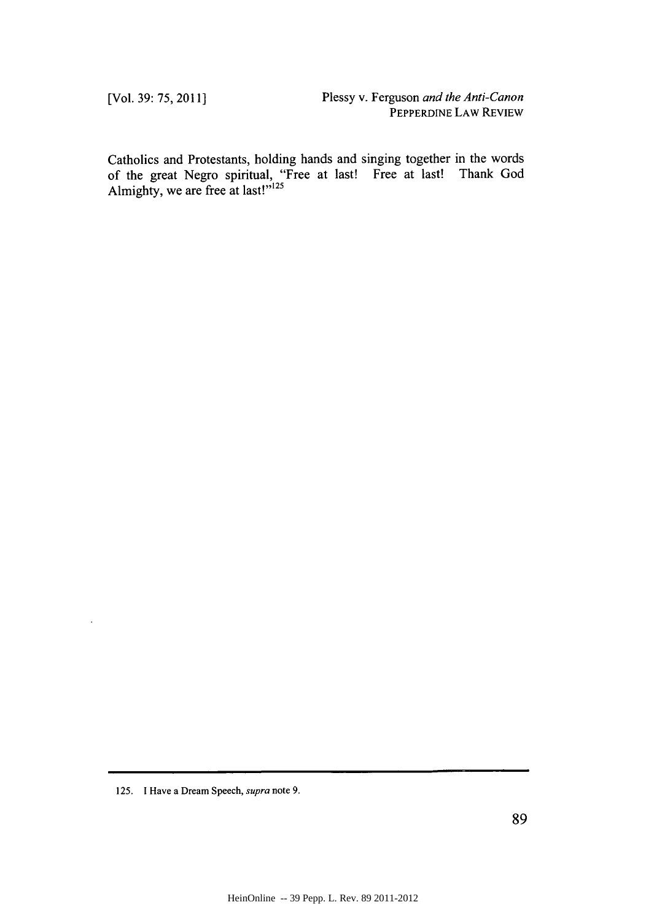Catholics and Protestants, holding hands and singing together in the words of the great Negro spiritual, "Free at last! Free at last! Thank God Almighty, we are free at last!"<sup>125</sup>

**<sup>125. 1</sup> Have a Dream Speech,** *supra* **note 9.**